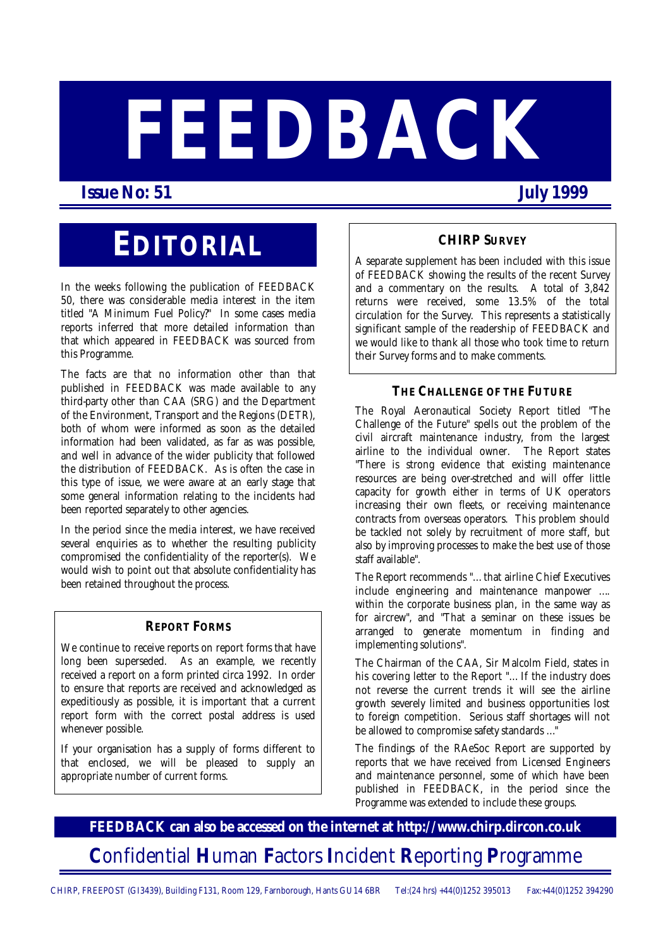# **FEEDBACK**

 **Issue No: 51 July 1999** 

# **EDITORIAL**

In the weeks following the publication of FEEDBACK 50, there was considerable media interest in the item titled "A Minimum Fuel Policy?" In some cases media reports inferred that more detailed information than that which appeared in FEEDBACK was sourced from this Programme.

The facts are that no information other than that published in FEEDBACK was made available to any third-party other than CAA (SRG) and the Department of the Environment, Transport and the Regions (DETR), both of whom were informed as soon as the detailed information had been validated, as far as was possible, and well in advance of the wider publicity that followed the distribution of FEEDBACK. As is often the case in this type of issue, we were aware at an early stage that some general information relating to the incidents had been reported separately to other agencies.

In the period since the media interest, we have received several enquiries as to whether the resulting publicity compromised the confidentiality of the reporter(s). We would wish to point out that absolute confidentiality has been retained throughout the process.

#### **REPORT FORMS**

We continue to receive reports on report forms that have long been superseded. As an example, we recently received a report on a form printed circa 1992. In order to ensure that reports are received and acknowledged as expeditiously as possible, it is important that a current report form with the correct postal address is used whenever possible.

If your organisation has a supply of forms different to that enclosed, we will be pleased to supply an appropriate number of current forms.

#### **CHIRP SURVEY**

A separate supplement has been included with this issue of FEEDBACK showing the results of the recent Survey and a commentary on the results. A total of 3,842 returns were received, some 13.5% of the total circulation for the Survey. This represents a statistically significant sample of the readership of FEEDBACK and we would like to thank all those who took time to return their Survey forms and to make comments.

#### **THE CHALLENGE OF THE FUTURE**

The Royal Aeronautical Society Report titled "The Challenge of the Future" spells out the problem of the civil aircraft maintenance industry, from the largest airline to the individual owner. The Report states "There is strong evidence that existing maintenance resources are being over-stretched and will offer little capacity for growth either in terms of UK operators increasing their own fleets, or receiving maintenance contracts from overseas operators. This problem should be tackled not solely by recruitment of more staff, but also by improving processes to make the best use of those staff available".

The Report recommends "… that airline Chief Executives include engineering and maintenance manpower …. within the corporate business plan, in the same way as for aircrew", and "That a seminar on these issues be arranged to generate momentum in finding and implementing solutions".

The Chairman of the CAA, Sir Malcolm Field, states in his covering letter to the Report "… If the industry does not reverse the current trends it will see the airline growth severely limited and business opportunities lost to foreign competition. Serious staff shortages will not be allowed to compromise safety standards …"

The findings of the RAeSoc Report are supported by reports that we have received from Licensed Engineers and maintenance personnel, some of which have been published in FEEDBACK, in the period since the Programme was extended to include these groups.

**FEEDBACK can also be accessed on the internet at http://www.chirp.dircon.co.uk C**onfidential **H**uman **F**actors **I**ncident **R**eporting **P**rogramme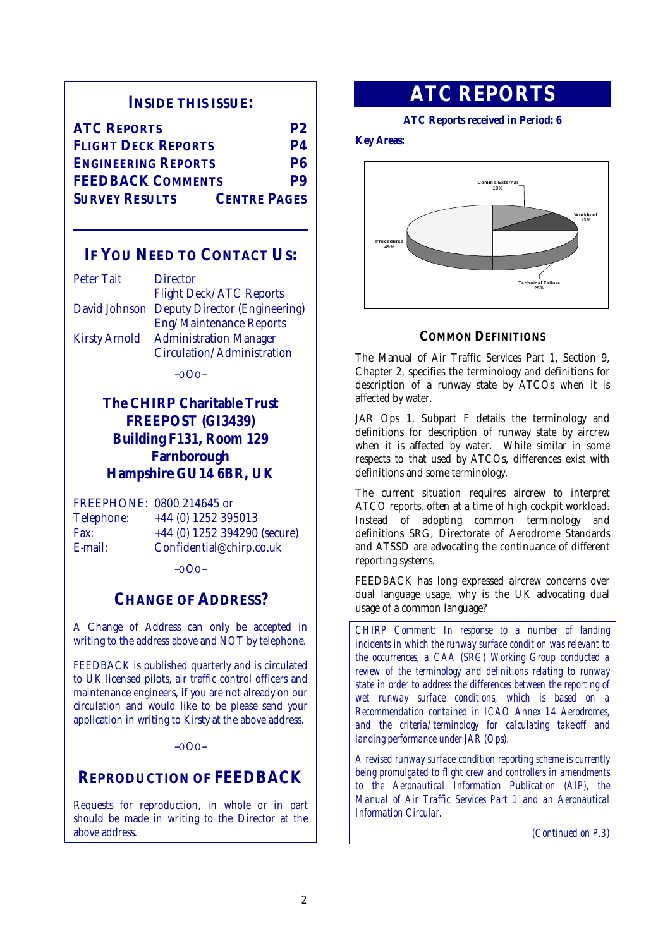#### **INSIDE THIS ISSUE:**

| <b>ATC REPORTS</b>         | <b>P2</b>           |
|----------------------------|---------------------|
| <b>FLIGHT DECK REPORTS</b> | <b>P4</b>           |
| <b>ENGINEERING REPORTS</b> | P6                  |
| <b>FEEDBACK COMMENTS</b>   |                     |
| <b>SURVEY RESULTS</b>      | <b>CENTRE PAGES</b> |

#### **IF YOU NEED TO CONTACT US:**

| <b>Peter Tait</b>    | <b>Director</b>                             |
|----------------------|---------------------------------------------|
|                      | <b>Flight Deck/ATC Reports</b>              |
|                      | David Johnson Deputy Director (Engineering) |
|                      | <b>Eng/Maintenance Reports</b>              |
| <b>Kirsty Arnold</b> | <b>Administration Manager</b>               |
|                      | Circulation/Administration                  |

--OOO--

### **The CHIRP Charitable Trust FREEPOST (GI3439) Building F131, Room 129 Farnborough Hampshire GU14 6BR, UK**

FREEPHONE: 0800 214645 or

Telephone: +44 (0) 1252 395013 Fax: +44 (0) 1252 394290 (secure) E-mail: Confidential@chirp.co.uk

--OOO--

#### **CHANGE OF ADDRESS?**

A Change of Address can only be accepted in writing to the address above and NOT by telephone.

FEEDBACK is published quarterly and is circulated to UK licensed pilots, air traffic control officers and maintenance engineers, if you are not already on our circulation and would like to be please send your application in writing to Kirsty at the above address.

#### --OOO--

## **REPRODUCTION OF FEEDBACK**

Requests for reproduction, in whole or in part should be made in writing to the Director at the above address.

## **ATC REPORTS**

#### **ATC Reports received in Period: 6**

#### **Key Areas:**



#### **COMMON DEFINITIONS**

The Manual of Air Traffic Services Part 1, Section 9, Chapter 2, specifies the terminology and definitions for description of a runway state by ATCOs when it is affected by water.

JAR Ops 1, Subpart F details the terminology and definitions for description of runway state by aircrew when it is affected by water. While similar in some respects to that used by ATCOs, differences exist with definitions and some terminology.

The current situation requires aircrew to interpret ATCO reports, often at a time of high cockpit workload. Instead of adopting common terminology and definitions SRG, Directorate of Aerodrome Standards and ATSSD are advocating the continuance of different reporting systems.

FEEDBACK has long expressed aircrew concerns over dual language usage, why is the UK advocating dual usage of a common language?

*CHIRP Comment: In response to a number of landing incidents in which the runway surface condition was relevant to the occurrences, a CAA (SRG) Working Group conducted a review of the terminology and definitions relating to runway state in order to address the differences between the reporting of wet runway surface conditions, which is based on a Recommendation contained in ICAO Annex 14 Aerodromes,*  and the criteria/terminology for calculating take-off and *landing performance under JAR (Ops).* 

*A revised runway surface condition reporting scheme is currently being promulgated to flight crew and controllers in amendments to the Aeronautical Information Publication (AIP), the Manual of Air Traffic Services Part 1 and an Aeronautical Information Circular.* 

*(Continued on P.3)*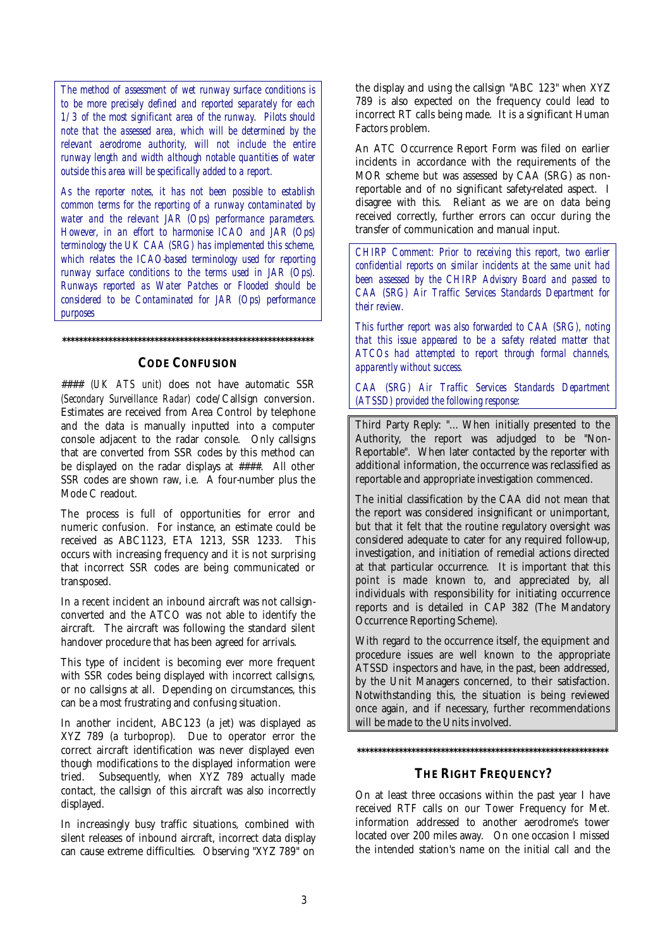*The method of assessment of wet runway surface conditions is to be more precisely defined and reported separately for each 1/3 of the most significant area of the runway. Pilots should note that the assessed area, which will be determined by the relevant aerodrome authority, will not include the entire runway length and width although notable quantities of water outside this area will be specifically added to a report.* 

*As the reporter notes, it has not been possible to establish common terms for the reporting of a runway contaminated by water and the relevant JAR (Ops) performance parameters. However, in an effort to harmonise ICAO and JAR (Ops) terminology the UK CAA (SRG) has implemented this scheme, which relates the ICAO-based terminology used for reporting runway surface conditions to the terms used in JAR (Ops). Runways reported as Water Patches or Flooded should be considered to be Contaminated for JAR (Ops) performance purposes* 

#### **CODE CONFUSION**

**\*\*\*\*\*\*\*\*\*\*\*\*\*\*\*\*\*\*\*\*\*\*\*\*\*\*\*\*\*\*\*\*\*\*\*\*\*\*\*\*\*\*\*\*\*\*\*\*\*\*\*\*\*\*\*\*\*\*\*\*** 

#### *(UK ATS unit)* does not have automatic SSR *(Secondary Surveillance Radar)* code/Callsign conversion. Estimates are received from Area Control by telephone and the data is manually inputted into a computer console adjacent to the radar console. Only callsigns that are converted from SSR codes by this method can be displayed on the radar displays at ####. All other SSR codes are shown raw, i.e. A four-number plus the Mode C readout.

The process is full of opportunities for error and numeric confusion. For instance, an estimate could be received as ABC1123, ETA 1213, SSR 1233. This occurs with increasing frequency and it is not surprising that incorrect SSR codes are being communicated or transposed.

In a recent incident an inbound aircraft was not callsignconverted and the ATCO was not able to identify the aircraft. The aircraft was following the standard silent handover procedure that has been agreed for arrivals.

This type of incident is becoming ever more frequent with SSR codes being displayed with incorrect callsigns. or no callsigns at all. Depending on circumstances, this can be a most frustrating and confusing situation.

In another incident, ABC123 (a jet) was displayed as XYZ 789 (a turboprop). Due to operator error the correct aircraft identification was never displayed even though modifications to the displayed information were tried. Subsequently, when XYZ 789 actually made contact, the callsign of this aircraft was also incorrectly displayed.

In increasingly busy traffic situations, combined with silent releases of inbound aircraft, incorrect data display can cause extreme difficulties. Observing "XYZ 789" on the display and using the callsign "ABC 123" when XYZ 789 is also expected on the frequency could lead to incorrect RT calls being made. It is a significant Human Factors problem.

An ATC Occurrence Report Form was filed on earlier incidents in accordance with the requirements of the MOR scheme but was assessed by CAA (SRG) as nonreportable and of no significant safety-related aspect. I disagree with this. Reliant as we are on data being received correctly, further errors can occur during the transfer of communication and manual input.

*CHIRP Comment: Prior to receiving this report, two earlier confidential reports on similar incidents at the same unit had been assessed by the CHIRP Advisory Board and passed to CAA (SRG) Air Traffic Services Standards Department for their review.* 

*This further report was also forwarded to CAA (SRG), noting that this issue appeared to be a safety related matter that ATCOs had attempted to report through formal channels, apparently without success.* 

*CAA (SRG) Air Traffic Services Standards Department (ATSSD) provided the following response:* 

Third Party Reply: "… When initially presented to the Authority, the report was adjudged to be "Non-Reportable". When later contacted by the reporter with additional information, the occurrence was reclassified as reportable and appropriate investigation commenced.

The initial classification by the CAA did not mean that the report was considered insignificant or unimportant, but that it felt that the routine regulatory oversight was considered adequate to cater for any required follow-up, investigation, and initiation of remedial actions directed at that particular occurrence. It is important that this point is made known to, and appreciated by, all individuals with responsibility for initiating occurrence reports and is detailed in CAP 382 (The Mandatory Occurrence Reporting Scheme).

With regard to the occurrence itself, the equipment and procedure issues are well known to the appropriate ATSSD inspectors and have, in the past, been addressed, by the Unit Managers concerned, to their satisfaction. Notwithstanding this, the situation is being reviewed once again, and if necessary, further recommendations will be made to the Units involved.

#### **\*\*\*\*\*\*\*\*\*\*\*\*\*\*\*\*\*\*\*\*\*\*\*\*\*\*\*\*\*\*\*\*\*\*\*\*\*\*\*\*\*\*\*\*\*\*\*\*\*\*\*\*\*\*\*\*\*\*\*\***

#### **THE RIGHT FREQUENCY?**

On at least three occasions within the past year I have received RTF calls on our Tower Frequency for Met. information addressed to another aerodrome's tower located over 200 miles away. On one occasion I missed the intended station's name on the initial call and the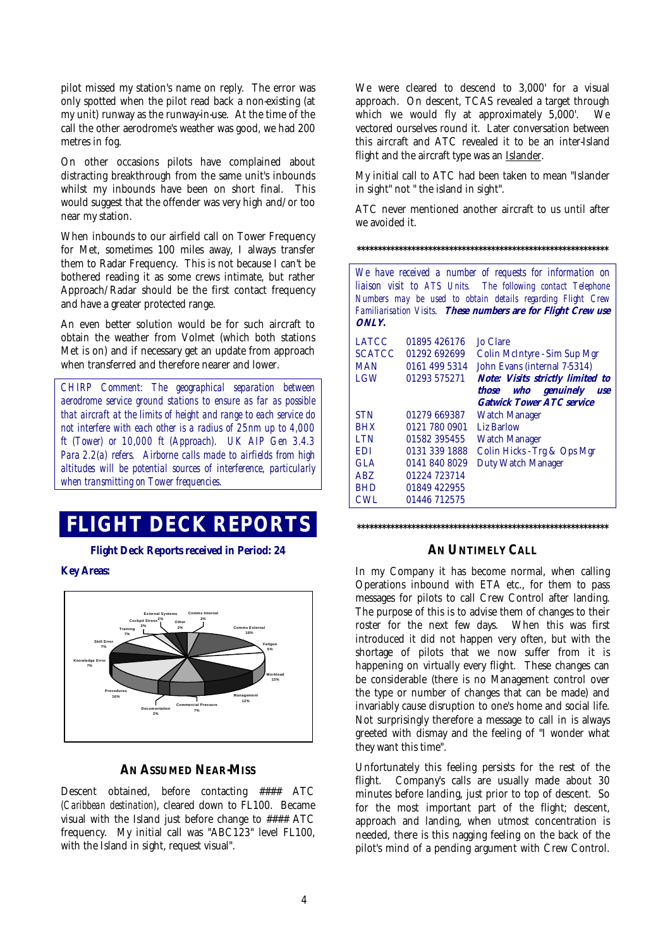pilot missed my station's name on reply. The error was only spotted when the pilot read back a non-existing (at my unit) runway as the runway-in-use. At the time of the call the other aerodrome's weather was good, we had 200 metres in fog.

On other occasions pilots have complained about distracting breakthrough from the same unit's inbounds whilst my inbounds have been on short final. This would suggest that the offender was very high and/or too near my station.

When inbounds to our airfield call on Tower Frequency for Met, sometimes 100 miles away, I always transfer them to Radar Frequency. This is not because I can't be bothered reading it as some crews intimate, but rather Approach/Radar should be the first contact frequency and have a greater protected range.

An even better solution would be for such aircraft to obtain the weather from Volmet (which both stations Met is on) and if necessary get an update from approach when transferred and therefore nearer and lower.

*CHIRP Comment: The geographical separation between aerodrome service ground stations to ensure as far as possible that aircraft at the limits of height and range to each service do not interfere with each other is a radius of 25nm up to 4,000 ft (Tower) or 10,000 ft (Approach). UK AIP Gen 3.4.3 Para 2.2(a) refers. Airborne calls made to airfields from high altitudes will be potential sources of interference, particularly when transmitting on Tower frequencies.* 

## **FLIGHT DECK REPORTS**

**Flight Deck Reports received in Period: 24** 

#### **Key Areas:**



#### **AN ASSUMED NEAR-MISS**

Descent obtained, before contacting #### ATC *(Caribbean destination)*, cleared down to FL100. Became visual with the Island just before change to #### ATC frequency. My initial call was "ABC123" level FL100, with the Island in sight, request visual".

We were cleared to descend to 3,000' for a visual approach. On descent, TCAS revealed a target through which we would fly at approximately 5,000'. We vectored ourselves round it. Later conversation between this aircraft and ATC revealed it to be an inter-Island flight and the aircraft type was an Islander.

My initial call to ATC had been taken to mean "Islander in sight" not " the island in sight".

ATC never mentioned another aircraft to us until after we avoided it.

**\*\*\*\*\*\*\*\*\*\*\*\*\*\*\*\*\*\*\*\*\*\*\*\*\*\*\*\*\*\*\*\*\*\*\*\*\*\*\*\*\*\*\*\*\*\*\*\*\*\*\*\*\*\*\*\*\*\*\*\*** 

| We have received a number of requests for information on<br>liaison visit to ATS Units. The following contact Telephone<br>Numbers may be used to obtain details regarding Flight Crew<br>Familiarisation Visits. These numbers are for Flight Crew use<br>ONLY. |               |                                                                       |
|------------------------------------------------------------------------------------------------------------------------------------------------------------------------------------------------------------------------------------------------------------------|---------------|-----------------------------------------------------------------------|
| <b>LATCC</b>                                                                                                                                                                                                                                                     | 01895 426176  | <b>Jo Clare</b>                                                       |
| <b>SCATCC</b>                                                                                                                                                                                                                                                    | 01292 692699  | Colin McIntyre - Sim Sup Mgr                                          |
| <b>MAN</b>                                                                                                                                                                                                                                                       | 0161 499 5314 | John Evans (internal 7-5314)                                          |
| LGW                                                                                                                                                                                                                                                              | 01293 575271  | <b>Note: Visits strictly limited to</b>                               |
|                                                                                                                                                                                                                                                                  |               | those who genuinely<br><b>use</b><br><b>Gatwick Tower ATC service</b> |
| <b>STN</b>                                                                                                                                                                                                                                                       | 01279 669387  | <b>Watch Manager</b>                                                  |
| <b>BHX</b>                                                                                                                                                                                                                                                       | 0121 780 0901 | <b>Liz Barlow</b>                                                     |
| <b>LTN</b>                                                                                                                                                                                                                                                       | 01582 395455  | <b>Watch Manager</b>                                                  |
| <b>EDI</b>                                                                                                                                                                                                                                                       | 0131 339 1888 | Colin Hicks - Trg & Ops Mgr                                           |
| GLA                                                                                                                                                                                                                                                              | 0141 840 8029 | <b>Duty Watch Manager</b>                                             |
| ABZ.                                                                                                                                                                                                                                                             | 01224 723714  |                                                                       |
| <b>BHD</b>                                                                                                                                                                                                                                                       | 01849 422955  |                                                                       |
| CWL                                                                                                                                                                                                                                                              | 01446 712575  |                                                                       |

**\*\*\*\*\*\*\*\*\*\*\*\*\*\*\*\*\*\*\*\*\*\*\*\*\*\*\*\*\*\*\*\*\*\*\*\*\*\*\*\*\*\*\*\*\*\*\*\*\*\*\*\*\*\*\*\*\*\*\*\*** 

#### **AN UNTIMELY CALL**

In my Company it has become normal, when calling Operations inbound with ETA etc., for them to pass messages for pilots to call Crew Control after landing. The purpose of this is to advise them of changes to their roster for the next few days. When this was first introduced it did not happen very often, but with the shortage of pilots that we now suffer from it is happening on virtually every flight. These changes can be considerable (there is no Management control over the type or number of changes that can be made) and invariably cause disruption to one's home and social life. Not surprisingly therefore a message to call in is always greeted with dismay and the feeling of "I wonder what they want this time".

Unfortunately this feeling persists for the rest of the flight. Company's calls are usually made about 30 minutes before landing, just prior to top of descent. So for the most important part of the flight; descent, approach and landing, when utmost concentration is needed, there is this nagging feeling on the back of the pilot's mind of a pending argument with Crew Control.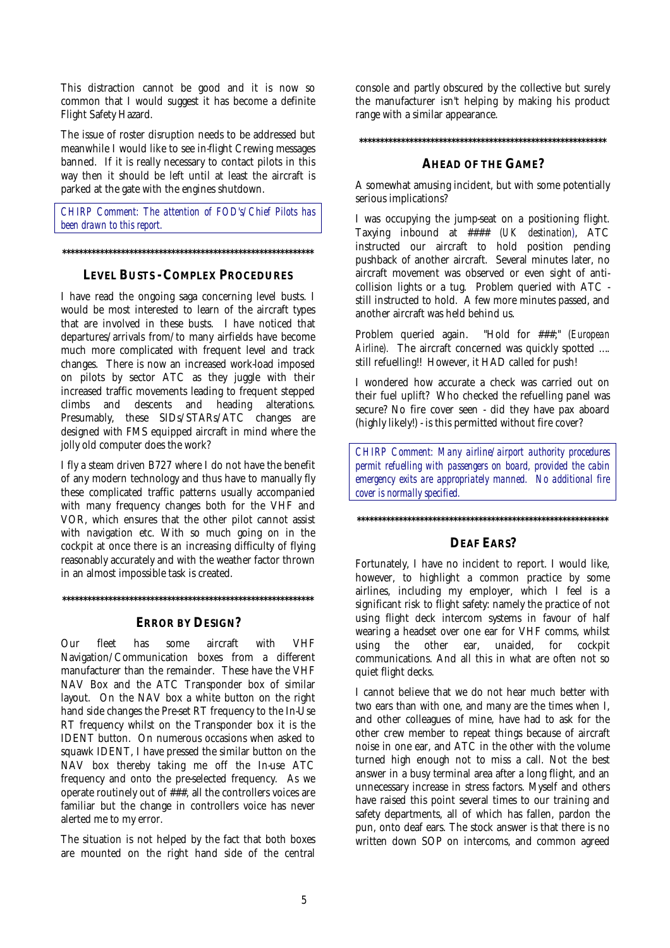This distraction cannot be good and it is now so common that I would suggest it has become a definite Flight Safety Hazard.

The issue of roster disruption needs to be addressed but meanwhile I would like to see in-flight Crewing messages banned. If it is really necessary to contact pilots in this way then it should be left until at least the aircraft is parked at the gate with the engines shutdown.

*CHIRP Comment: The attention of FOD's/Chief Pilots has been drawn to this report.* 

#### **\*\*\*\*\*\*\*\*\*\*\*\*\*\*\*\*\*\*\*\*\*\*\*\*\*\*\*\*\*\*\*\*\*\*\*\*\*\*\*\*\*\*\*\*\*\*\*\*\*\*\*\*\*\*\*\*\*\*\*\***

#### **LEVEL BUSTS - COMPLEX PROCEDURES**

I have read the ongoing saga concerning level busts. I would be most interested to learn of the aircraft types that are involved in these busts. I have noticed that departures/arrivals from/to many airfields have become much more complicated with frequent level and track changes. There is now an increased work-load imposed on pilots by sector ATC as they juggle with their increased traffic movements leading to frequent stepped climbs and descents and heading alterations. Presumably, these SIDs/STARs/ATC changes are designed with FMS equipped aircraft in mind where the jolly old computer does the work?

I fly a steam driven B727 where I do not have the benefit of any modern technology and thus have to manually fly these complicated traffic patterns usually accompanied with many frequency changes both for the VHF and VOR, which ensures that the other pilot cannot assist with navigation etc. With so much going on in the cockpit at once there is an increasing difficulty of flying reasonably accurately and with the weather factor thrown in an almost impossible task is created.

**\*\*\*\*\*\*\*\*\*\*\*\*\*\*\*\*\*\*\*\*\*\*\*\*\*\*\*\*\*\*\*\*\*\*\*\*\*\*\*\*\*\*\*\*\*\*\*\*\*\*\*\*\*\*\*\*\*\*\*\*** 

#### **ERROR BY DESIGN?**

Our fleet has some aircraft with VHF Navigation/Communication boxes from a different manufacturer than the remainder. These have the VHF NAV Box and the ATC Transponder box of similar layout. On the NAV box a white button on the right hand side changes the Pre-set RT frequency to the In-Use RT frequency whilst on the Transponder box it is the IDENT button. On numerous occasions when asked to squawk IDENT, I have pressed the similar button on the NAV box thereby taking me off the In-use ATC frequency and onto the pre-selected frequency. As we operate routinely out of ###, all the controllers voices are familiar but the change in controllers voice has never alerted me to my error.

The situation is not helped by the fact that both boxes are mounted on the right hand side of the central console and partly obscured by the collective but surely the manufacturer isn't helping by making his product range with a similar appearance.

#### **\*\*\*\*\*\*\*\*\*\*\*\*\*\*\*\*\*\*\*\*\*\*\*\*\*\*\*\*\*\*\*\*\*\*\*\*\*\*\*\*\*\*\*\*\*\*\*\*\*\*\*\*\*\*\*\*\*\*\***

#### **AHEAD OF THE GAME?**

A somewhat amusing incident, but with some potentially serious implications?

I was occupying the jump-seat on a positioning flight. Taxying inbound at #### *(UK destination)*, ATC instructed our aircraft to hold position pending pushback of another aircraft. Several minutes later, no aircraft movement was observed or even sight of anticollision lights or a tug. Problem queried with ATC still instructed to hold. A few more minutes passed, and another aircraft was held behind us.

Problem queried again. "Hold for ###;" *(European Airline).* The aircraft concerned was quickly spotted …. still refuelling!! However, it HAD called for push!

I wondered how accurate a check was carried out on their fuel uplift? Who checked the refuelling panel was secure? No fire cover seen - did they have pax aboard (highly likely!) - is this permitted without fire cover?

*CHIRP Comment: Many airline/airport authority procedures permit refuelling with passengers on board, provided the cabin emergency exits are appropriately manned. No additional fire cover is normally specified.* 

**\*\*\*\*\*\*\*\*\*\*\*\*\*\*\*\*\*\*\*\*\*\*\*\*\*\*\*\*\*\*\*\*\*\*\*\*\*\*\*\*\*\*\*\*\*\*\*\*\*\*\*\*\*\*\*\*\*\*\*\***

#### **DEAF EARS?**

Fortunately, I have no incident to report. I would like, however, to highlight a common practice by some airlines, including my employer, which I feel is a significant risk to flight safety: namely the practice of not using flight deck intercom systems in favour of half wearing a headset over one ear for VHF comms, whilst using the other ear, unaided, for cockpit communications. And all this in what are often not so quiet flight decks.

I cannot believe that we do not hear much better with two ears than with one, and many are the times when I, and other colleagues of mine, have had to ask for the other crew member to repeat things because of aircraft noise in one ear, and ATC in the other with the volume turned high enough not to miss a call. Not the best answer in a busy terminal area after a long flight, and an unnecessary increase in stress factors. Myself and others have raised this point several times to our training and safety departments, all of which has fallen, pardon the pun, onto deaf ears. The stock answer is that there is no written down SOP on intercoms, and common agreed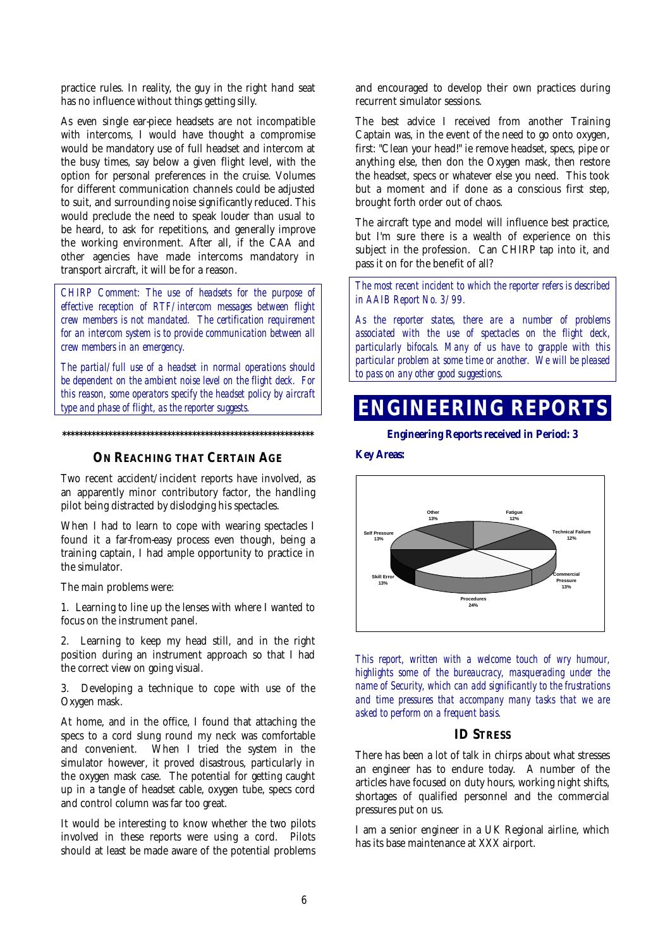practice rules. In reality, the guy in the right hand seat has no influence without things getting silly.

As even single ear-piece headsets are not incompatible with intercoms, I would have thought a compromise would be mandatory use of full headset and intercom at the busy times, say below a given flight level, with the option for personal preferences in the cruise. Volumes for different communication channels could be adjusted to suit, and surrounding noise significantly reduced. This would preclude the need to speak louder than usual to be heard, to ask for repetitions, and generally improve the working environment. After all, if the CAA and other agencies have made intercoms mandatory in transport aircraft, it will be for a reason.

*CHIRP Comment: The use of headsets for the purpose of effective reception of RTF/intercom messages between flight crew members is not mandated. The certification requirement for an intercom system is to provide communication between all crew members in an emergency.* 

*The partial/full use of a headset in normal operations should be dependent on the ambient noise level on the flight deck. For this reason, some operators specify the headset policy by aircraft type and phase of flight, as the reporter suggests.* 

**ON REACHING THAT CERTAIN AGE**

**\*\*\*\*\*\*\*\*\*\*\*\*\*\*\*\*\*\*\*\*\*\*\*\*\*\*\*\*\*\*\*\*\*\*\*\*\*\*\*\*\*\*\*\*\*\*\*\*\*\*\*\*\*\*\*\*\*\*\*\*** 

Two recent accident/incident reports have involved, as an apparently minor contributory factor, the handling pilot being distracted by dislodging his spectacles.

When I had to learn to cope with wearing spectacles I found it a far-from-easy process even though, being a training captain, I had ample opportunity to practice in the simulator.

The main problems were:

1. Learning to line up the lenses with where I wanted to focus on the instrument panel.

2. Learning to keep my head still, and in the right position during an instrument approach so that I had the correct view on going visual.

3. Developing a technique to cope with use of the Oxygen mask.

At home, and in the office, I found that attaching the specs to a cord slung round my neck was comfortable and convenient. When I tried the system in the simulator however, it proved disastrous, particularly in the oxygen mask case. The potential for getting caught up in a tangle of headset cable, oxygen tube, specs cord and control column was far too great.

It would be interesting to know whether the two pilots involved in these reports were using a cord. Pilots should at least be made aware of the potential problems and encouraged to develop their own practices during recurrent simulator sessions.

The best advice I received from another Training Captain was, in the event of the need to go onto oxygen, first: "Clean your head!" ie remove headset, specs, pipe or anything else, then don the Oxygen mask, then restore the headset, specs or whatever else you need. This took but a moment and if done as a conscious first step, brought forth order out of chaos.

The aircraft type and model will influence best practice, but I'm sure there is a wealth of experience on this subject in the profession. Can CHIRP tap into it, and pass it on for the benefit of all?

*The most recent incident to which the reporter refers is described in AAIB Report No. 3/99.* 

*As the reporter states, there are a number of problems associated with the use of spectacles on the flight deck, particularly bifocals. Many of us have to grapple with this particular problem at some time or another. We will be pleased to pass on any other good suggestions.* 

## **ENGINEERING REPORTS**

**Engineering Reports received in Period: 3** 

#### **Key Areas:**



*This report, written with a welcome touch of wry humour, highlights some of the bureaucracy, masquerading under the name of Security, which can add significantly to the frustrations and time pressures that accompany many tasks that we are asked to perform on a frequent basis.* 

#### **ID STRESS**

There has been a lot of talk in chirps about what stresses an engineer has to endure today. A number of the articles have focused on duty hours, working night shifts, shortages of qualified personnel and the commercial pressures put on us.

I am a senior engineer in a UK Regional airline, which has its base maintenance at XXX airport.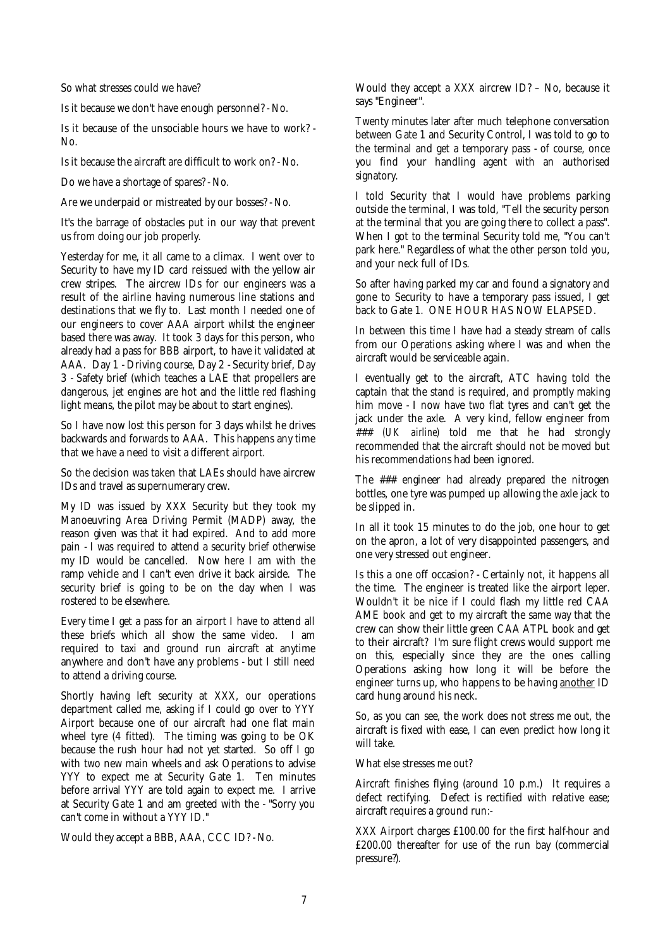So what stresses could we have?

Is it because we don't have enough personnel? - No.

Is it because of the unsociable hours we have to work? - No.

Is it because the aircraft are difficult to work on? - No.

Do we have a shortage of spares? - No.

Are we underpaid or mistreated by our bosses? - No.

It's the barrage of obstacles put in our way that prevent us from doing our job properly.

Yesterday for me, it all came to a climax. I went over to Security to have my ID card reissued with the yellow air crew stripes. The aircrew IDs for our engineers was a result of the airline having numerous line stations and destinations that we fly to. Last month I needed one of our engineers to cover AAA airport whilst the engineer based there was away. It took 3 days for this person, who already had a pass for BBB airport, to have it validated at AAA. Day 1 - Driving course, Day 2 - Security brief, Day 3 - Safety brief (which teaches a LAE that propellers are dangerous, jet engines are hot and the little red flashing light means, the pilot may be about to start engines).

So I have now lost this person for 3 days whilst he drives backwards and forwards to AAA. This happens any time that we have a need to visit a different airport.

So the decision was taken that LAEs should have aircrew IDs and travel as supernumerary crew.

My ID was issued by XXX Security but they took my Manoeuvring Area Driving Permit (MADP) away, the reason given was that it had expired. And to add more pain - I was required to attend a security brief otherwise my ID would be cancelled. Now here I am with the ramp vehicle and I can't even drive it back airside. The security brief is going to be on the day when I was rostered to be elsewhere.

Every time I get a pass for an airport I have to attend all these briefs which all show the same video. I am required to taxi and ground run aircraft at anytime anywhere and don't have any problems - but I still need to attend a driving course.

Shortly having left security at XXX, our operations department called me, asking if I could go over to YYY Airport because one of our aircraft had one flat main wheel tyre (4 fitted). The timing was going to be OK because the rush hour had not yet started. So off I go with two new main wheels and ask Operations to advise YYY to expect me at Security Gate 1. Ten minutes before arrival YYY are told again to expect me. I arrive at Security Gate 1 and am greeted with the - "Sorry you can't come in without a YYY ID."

Would they accept a BBB, AAA, CCC ID? - No.

Would they accept a XXX aircrew ID? – No, because it says "Engineer".

Twenty minutes later after much telephone conversation between Gate 1 and Security Control, I was told to go to the terminal and get a temporary pass - of course, once you find your handling agent with an authorised signatory.

I told Security that I would have problems parking outside the terminal, I was told, "Tell the security person at the terminal that you are going there to collect a pass". When I got to the terminal Security told me, "You can't park here." Regardless of what the other person told you, and your neck full of IDs.

So after having parked my car and found a signatory and gone to Security to have a temporary pass issued, I get back to Gate 1. ONE HOUR HAS NOW ELAPSED.

In between this time I have had a steady stream of calls from our Operations asking where I was and when the aircraft would be serviceable again.

I eventually get to the aircraft, ATC having told the captain that the stand is required, and promptly making him move - I now have two flat tyres and can't get the jack under the axle. A very kind, fellow engineer from ### *(UK airline)* told me that he had strongly recommended that the aircraft should not be moved but his recommendations had been ignored.

The ### engineer had already prepared the nitrogen bottles, one tyre was pumped up allowing the axle jack to be slipped in.

In all it took 15 minutes to do the job, one hour to get on the apron, a lot of very disappointed passengers, and one very stressed out engineer.

Is this a one off occasion? - Certainly not, it happens all the time. The engineer is treated like the airport leper. Wouldn't it be nice if I could flash my little red CAA AME book and get to my aircraft the same way that the crew can show their little green CAA ATPL book and get to their aircraft? I'm sure flight crews would support me on this, especially since they are the ones calling Operations asking how long it will be before the engineer turns up, who happens to be having another ID card hung around his neck.

So, as you can see, the work does not stress me out, the aircraft is fixed with ease, I can even predict how long it will take.

What else stresses me out?

Aircraft finishes flying (around 10 p.m.) It requires a defect rectifying. Defect is rectified with relative ease; aircraft requires a ground run:-

XXX Airport charges £100.00 for the first half-hour and £200.00 thereafter for use of the run bay (commercial pressure?).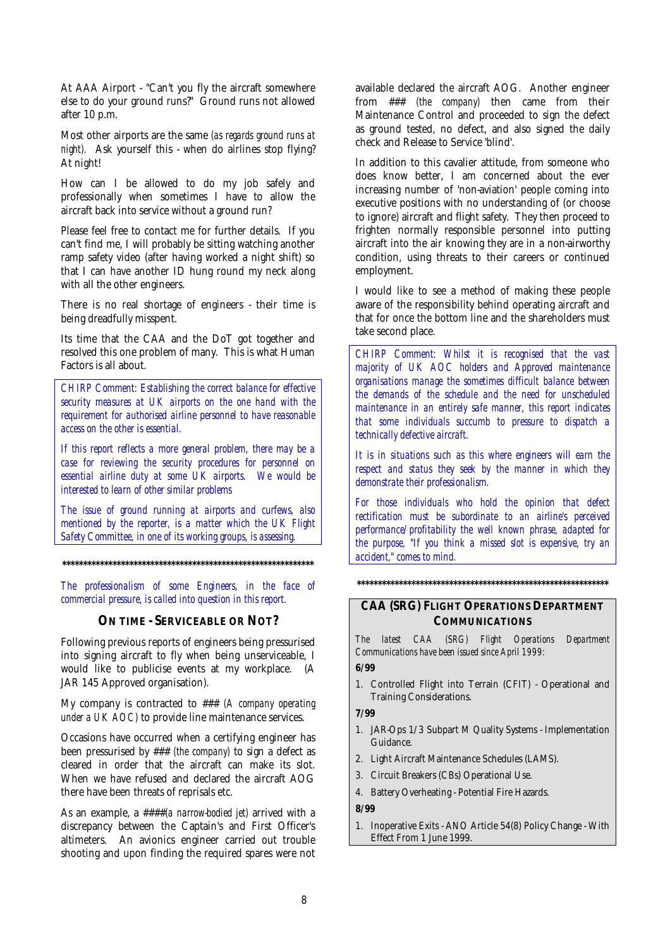At AAA Airport - "Can't you fly the aircraft somewhere else to do your ground runs?" Ground runs not allowed after 10 p.m.

Most other airports are the same *(as regards ground runs at night).* Ask yourself this - when do airlines stop flying? At night!

How can I be allowed to do my job safely and professionally when sometimes I have to allow the aircraft back into service without a ground run?

Please feel free to contact me for further details. If you can't find me, I will probably be sitting watching another ramp safety video (after having worked a night shift) so that I can have another ID hung round my neck along with all the other engineers.

There is no real shortage of engineers - their time is being dreadfully misspent.

Its time that the CAA and the DoT got together and resolved this one problem of many. This is what Human Factors is all about.

*CHIRP Comment: Establishing the correct balance for effective security measures at UK airports on the one hand with the requirement for authorised airline personnel to have reasonable access on the other is essential.* 

*If this report reflects a more general problem, there may be a case for reviewing the security procedures for personnel on essential airline duty at some UK airports. We would be interested to learn of other similar problems* 

*The issue of ground running at airports and curfews, also mentioned by the reporter, is a matter which the UK Flight Safety Committee, in one of its working groups, is assessing.* 

**\*\*\*\*\*\*\*\*\*\*\*\*\*\*\*\*\*\*\*\*\*\*\*\*\*\*\*\*\*\*\*\*\*\*\*\*\*\*\*\*\*\*\*\*\*\*\*\*\*\*\*\*\*\*\*\*\*\*\*\*** 

*The professionalism of some Engineers, in the face of commercial pressure, is called into question in this report.* 

#### **ON TIME - SERVICEABLE OR NOT?**

Following previous reports of engineers being pressurised into signing aircraft to fly when being unserviceable, I would like to publicise events at my workplace. (A JAR 145 Approved organisation).

My company is contracted to ### *(A company operating under a UK AOC)* to provide line maintenance services.

Occasions have occurred when a certifying engineer has been pressurised by ### *(the company)* to sign a defect as cleared in order that the aircraft can make its slot. When we have refused and declared the aircraft AOG there have been threats of reprisals etc.

As an example, a ####*(a narrow-bodied jet)* arrived with a discrepancy between the Captain's and First Officer's altimeters. An avionics engineer carried out trouble shooting and upon finding the required spares were not available declared the aircraft AOG. Another engineer from ### *(the company)* then came from their Maintenance Control and proceeded to sign the defect as ground tested, no defect, and also signed the daily check and Release to Service 'blind'.

In addition to this cavalier attitude, from someone who does know better, I am concerned about the ever increasing number of 'non-aviation' people coming into executive positions with no understanding of (or choose to ignore) aircraft and flight safety. They then proceed to frighten normally responsible personnel into putting aircraft into the air knowing they are in a non-airworthy condition, using threats to their careers or continued employment.

I would like to see a method of making these people aware of the responsibility behind operating aircraft and that for once the bottom line and the shareholders must take second place.

*CHIRP Comment: Whilst it is recognised that the vast majority of UK AOC holders and Approved maintenance organisations manage the sometimes difficult balance between the demands of the schedule and the need for unscheduled maintenance in an entirely safe manner, this report indicates that some individuals succumb to pressure to dispatch a technically defective aircraft.* 

*It is in situations such as this where engineers will earn the respect and status they seek by the manner in which they demonstrate their professionalism.* 

*For those individuals who hold the opinion that defect rectification must be subordinate to an airline's perceived performance/profitability the well known phrase, adapted for the purpose, "If you think a missed slot is expensive, try an accident," comes to mind.* 

**\*\*\*\*\*\*\*\*\*\*\*\*\*\*\*\*\*\*\*\*\*\*\*\*\*\*\*\*\*\*\*\*\*\*\*\*\*\*\*\*\*\*\*\*\*\*\*\*\*\*\*\*\*\*\*\*\*\*\*\*** 

#### **CAA (SRG) FLIGHT OPERATIONS DEPARTMENT COMMUNICATIONS**

*The latest CAA (SRG) Flight Operations Department Communications have been issued since April 1999:* 

#### **6/99**

1. Controlled Flight into Terrain (CFIT) - Operational and Training Considerations.

#### **7/99**

- 1. JAR-Ops 1/3 Subpart M Quality Systems Implementation Guidance.
- 2. Light Aircraft Maintenance Schedules (LAMS).
- 3. Circuit Breakers (CBs) Operational Use.
- 4. Battery Overheating Potential Fire Hazards.

**8/99** 

1. Inoperative Exits - ANO Article 54(8) Policy Change - With Effect From 1 June 1999.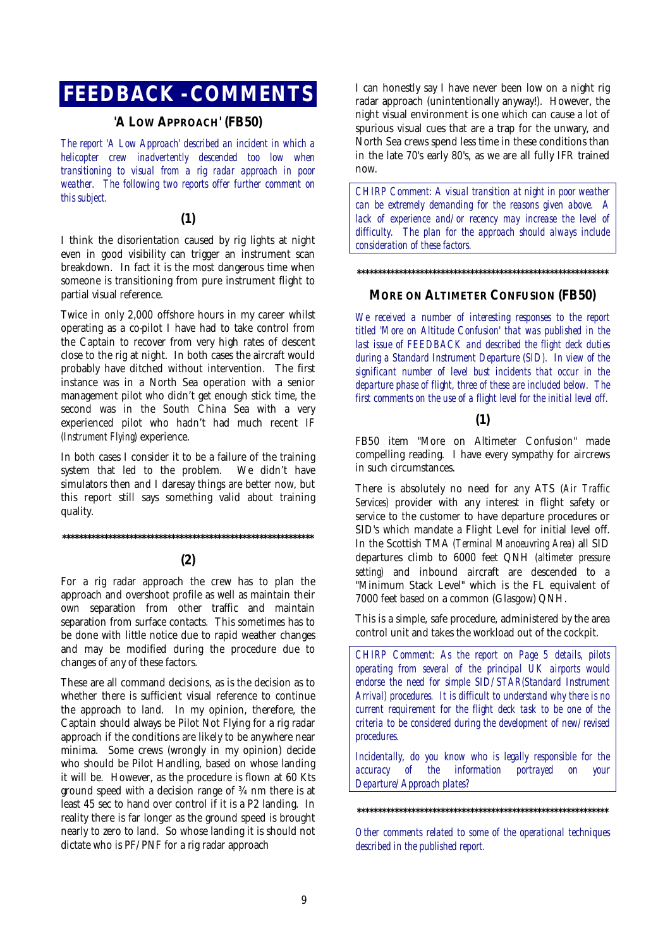## **FEEDBACK - COMMENTS**

#### **'A LOW APPROACH' (FB50)**

*The report 'A Low Approach' described an incident in which a helicopter crew inadvertently descended too low when transitioning to visual from a rig radar approach in poor weather. The following two reports offer further comment on this subject.* 

#### **(1)**

I think the disorientation caused by rig lights at night even in good visibility can trigger an instrument scan breakdown. In fact it is the most dangerous time when someone is transitioning from pure instrument flight to partial visual reference.

Twice in only 2,000 offshore hours in my career whilst operating as a co-pilot I have had to take control from the Captain to recover from very high rates of descent close to the rig at night. In both cases the aircraft would probably have ditched without intervention. The first instance was in a North Sea operation with a senior management pilot who didn't get enough stick time, the second was in the South China Sea with a very experienced pilot who hadn't had much recent IF *(Instrument Flying)* experience.

In both cases I consider it to be a failure of the training system that led to the problem. We didn't have simulators then and I daresay things are better now, but this report still says something valid about training quality.

#### **\*\*\*\*\*\*\*\*\*\*\*\*\*\*\*\*\*\*\*\*\*\*\*\*\*\*\*\*\*\*\*\*\*\*\*\*\*\*\*\*\*\*\*\*\*\*\*\*\*\*\*\*\*\*\*\*\*\*\*\***

#### **(2)**

For a rig radar approach the crew has to plan the approach and overshoot profile as well as maintain their own separation from other traffic and maintain separation from surface contacts. This sometimes has to be done with little notice due to rapid weather changes and may be modified during the procedure due to changes of any of these factors.

These are all command decisions, as is the decision as to whether there is sufficient visual reference to continue the approach to land. In my opinion, therefore, the Captain should always be Pilot Not Flying for a rig radar approach if the conditions are likely to be anywhere near minima. Some crews (wrongly in my opinion) decide who should be Pilot Handling, based on whose landing it will be. However, as the procedure is flown at 60 Kts ground speed with a decision range of ¾ nm there is at least 45 sec to hand over control if it is a P2 landing. In reality there is far longer as the ground speed is brought nearly to zero to land. So whose landing it is should not dictate who is PF/PNF for a rig radar approach

I can honestly say I have never been low on a night rig radar approach (unintentionally anyway!). However, the night visual environment is one which can cause a lot of spurious visual cues that are a trap for the unwary, and North Sea crews spend less time in these conditions than in the late 70's early 80's, as we are all fully IFR trained now.

*CHIRP Comment: A visual transition at night in poor weather can be extremely demanding for the reasons given above. A lack of experience and/or recency may increase the level of difficulty. The plan for the approach should always include consideration of these factors.* 

#### **\*\*\*\*\*\*\*\*\*\*\*\*\*\*\*\*\*\*\*\*\*\*\*\*\*\*\*\*\*\*\*\*\*\*\*\*\*\*\*\*\*\*\*\*\*\*\*\*\*\*\*\*\*\*\*\*\*\*\*\***

#### **MORE ON ALTIMETER CONFUSION (FB50)**

*We received a number of interesting responses to the report titled 'More on Altitude Confusion' that was published in the last issue of FEEDBACK and described the flight deck duties during a Standard Instrument Departure (SID). In view of the significant number of level bust incidents that occur in the departure phase of flight, three of these are included below. The first comments on the use of a flight level for the initial level off.* 

#### **(1)**

FB50 item "More on Altimeter Confusion" made compelling reading. I have every sympathy for aircrews in such circumstances.

There is absolutely no need for any ATS *(Air Traffic Services)* provider with any interest in flight safety or service to the customer to have departure procedures or SID's which mandate a Flight Level for initial level off. In the Scottish TMA *(Terminal Manoeuvring Area)* all SID departures climb to 6000 feet QNH *(altimeter pressure setting)* and inbound aircraft are descended to a "Minimum Stack Level" which is the FL equivalent of 7000 feet based on a common (Glasgow) QNH.

This is a simple, safe procedure, administered by the area control unit and takes the workload out of the cockpit.

*CHIRP Comment: As the report on Page 5 details, pilots operating from several of the principal UK airports would endorse the need for simple SID/STAR(Standard Instrument Arrival) procedures. It is difficult to understand why there is no current requirement for the flight deck task to be one of the criteria to be considered during the development of new/revised procedures.* 

*Incidentally, do you know who is legally responsible for the accuracy of the information portrayed on your Departure/Approach plates?* 

**\*\*\*\*\*\*\*\*\*\*\*\*\*\*\*\*\*\*\*\*\*\*\*\*\*\*\*\*\*\*\*\*\*\*\*\*\*\*\*\*\*\*\*\*\*\*\*\*\*\*\*\*\*\*\*\*\*\*\*\*** 

*Other comments related to some of the operational techniques described in the published report.*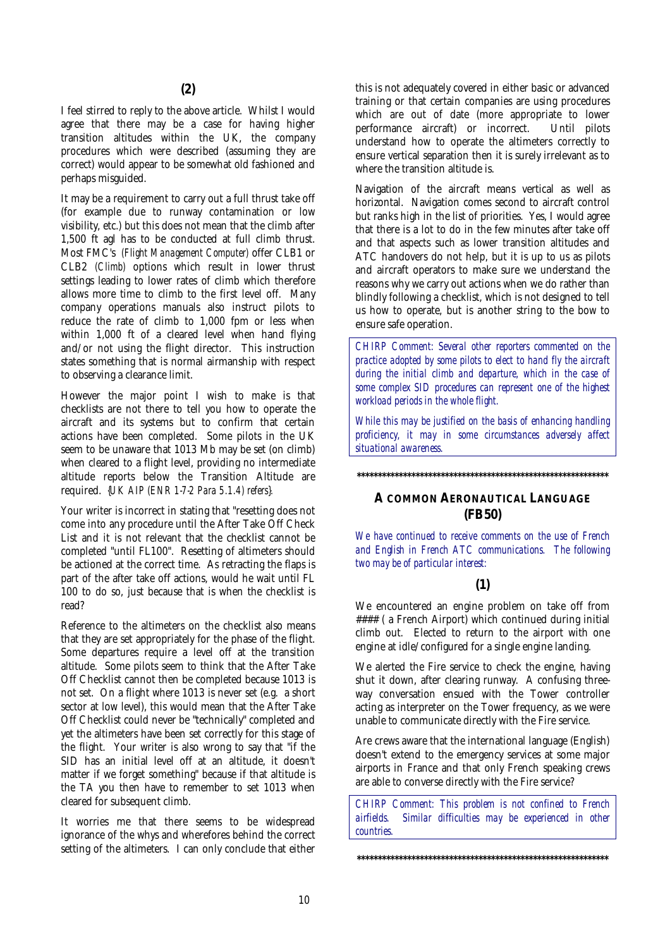I feel stirred to reply to the above article. Whilst I would agree that there may be a case for having higher transition altitudes within the UK, the company procedures which were described (assuming they are correct) would appear to be somewhat old fashioned and perhaps misguided.

It may be a requirement to carry out a full thrust take off (for example due to runway contamination or low visibility, etc.) but this does not mean that the climb after 1,500 ft agl has to be conducted at full climb thrust. Most FMC's *(Flight Management Computer)* offer CLB1 or CLB2 *(Climb)* options which result in lower thrust settings leading to lower rates of climb which therefore allows more time to climb to the first level off. Many company operations manuals also instruct pilots to reduce the rate of climb to 1,000 fpm or less when within 1,000 ft of a cleared level when hand flying and/or not using the flight director. This instruction states something that is normal airmanship with respect to observing a clearance limit.

However the major point I wish to make is that checklists are not there to tell you how to operate the aircraft and its systems but to confirm that certain actions have been completed. Some pilots in the UK seem to be unaware that 1013 Mb may be set (on climb) when cleared to a flight level, providing no intermediate altitude reports below the Transition Altitude are required. *{UK AIP (ENR 1-7-2 Para 5.1.4) refers}.* 

Your writer is incorrect in stating that "resetting does not come into any procedure until the After Take Off Check List and it is not relevant that the checklist cannot be completed "until FL100". Resetting of altimeters should be actioned at the correct time. As retracting the flaps is part of the after take off actions, would he wait until FL 100 to do so, just because that is when the checklist is read?

Reference to the altimeters on the checklist also means that they are set appropriately for the phase of the flight. Some departures require a level off at the transition altitude. Some pilots seem to think that the After Take Off Checklist cannot then be completed because 1013 is not set. On a flight where 1013 is never set (e.g. a short sector at low level), this would mean that the After Take Off Checklist could never be "technically" completed and yet the altimeters have been set correctly for this stage of the flight. Your writer is also wrong to say that "if the SID has an initial level off at an altitude, it doesn't matter if we forget something" because if that altitude is the TA you then have to remember to set 1013 when cleared for subsequent climb.

It worries me that there seems to be widespread ignorance of the whys and wherefores behind the correct setting of the altimeters. I can only conclude that either this is not adequately covered in either basic or advanced training or that certain companies are using procedures which are out of date (more appropriate to lower performance aircraft) or incorrect. Until pilots understand how to operate the altimeters correctly to ensure vertical separation then it is surely irrelevant as to where the transition altitude is.

Navigation of the aircraft means vertical as well as horizontal. Navigation comes second to aircraft control but ranks high in the list of priorities. Yes, I would agree that there is a lot to do in the few minutes after take off and that aspects such as lower transition altitudes and ATC handovers do not help, but it is up to us as pilots and aircraft operators to make sure we understand the reasons why we carry out actions when we do rather than blindly following a checklist, which is not designed to tell us how to operate, but is another string to the bow to ensure safe operation.

*CHIRP Comment: Several other reporters commented on the practice adopted by some pilots to elect to hand fly the aircraft during the initial climb and departure, which in the case of some complex SID procedures can represent one of the highest workload periods in the whole flight.* 

*While this may be justified on the basis of enhancing handling proficiency, it may in some circumstances adversely affect situational awareness.* 

**\*\*\*\*\*\*\*\*\*\*\*\*\*\*\*\*\*\*\*\*\*\*\*\*\*\*\*\*\*\*\*\*\*\*\*\*\*\*\*\*\*\*\*\*\*\*\*\*\*\*\*\*\*\*\*\*\*\*\*\*** 

#### **A COMMON AERONAUTICAL LANGUAGE (FB50)**

*We have continued to receive comments on the use of French and English in French ATC communications. The following two may be of particular interest:* 

#### **(1)**

We encountered an engine problem on take off from #### ( a French Airport) which continued during initial climb out. Elected to return to the airport with one engine at idle/configured for a single engine landing.

We alerted the Fire service to check the engine, having shut it down, after clearing runway. A confusing threeway conversation ensued with the Tower controller acting as interpreter on the Tower frequency, as we were unable to communicate directly with the Fire service.

Are crews aware that the international language (English) doesn't extend to the emergency services at some major airports in France and that only French speaking crews are able to converse directly with the Fire service?

*CHIRP Comment: This problem is not confined to French airfields. Similar difficulties may be experienced in other countries.* 

**\*\*\*\*\*\*\*\*\*\*\*\*\*\*\*\*\*\*\*\*\*\*\*\*\*\*\*\*\*\*\*\*\*\*\*\*\*\*\*\*\*\*\*\*\*\*\*\*\*\*\*\*\*\*\*\*\*\*\*\***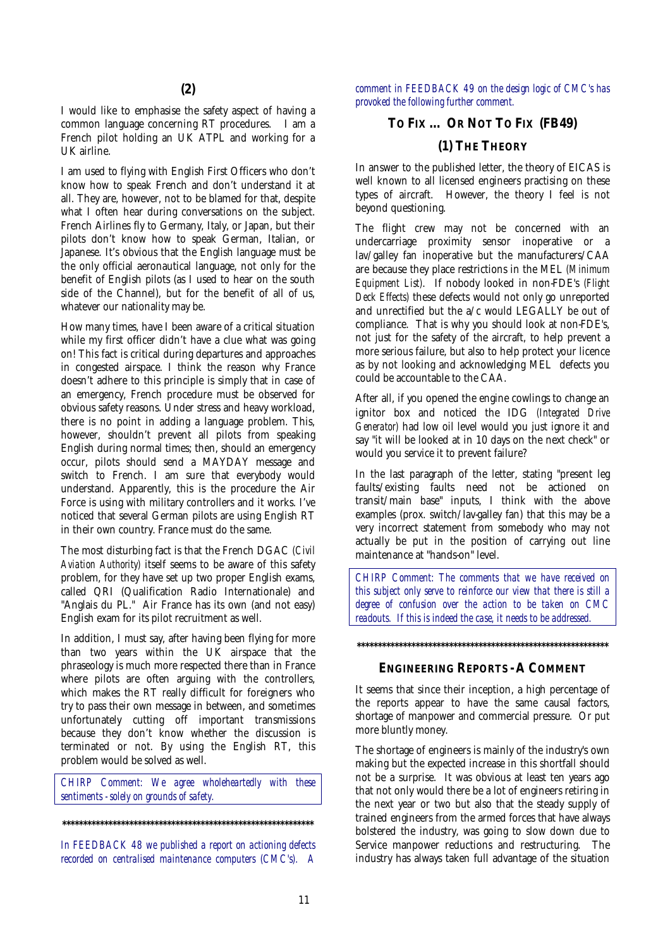I would like to emphasise the safety aspect of having a common language concerning RT procedures. I am a French pilot holding an UK ATPL and working for a UK airline.

I am used to flying with English First Officers who don't know how to speak French and don't understand it at all. They are, however, not to be blamed for that, despite what I often hear during conversations on the subject. French Airlines fly to Germany, Italy, or Japan, but their pilots don't know how to speak German, Italian, or Japanese. It's obvious that the English language must be the only official aeronautical language, not only for the benefit of English pilots (as I used to hear on the south side of the Channel), but for the benefit of all of us, whatever our nationality may be.

How many times, have I been aware of a critical situation while my first officer didn't have a clue what was going on! This fact is critical during departures and approaches in congested airspace. I think the reason why France doesn't adhere to this principle is simply that in case of an emergency, French procedure must be observed for obvious safety reasons. Under stress and heavy workload, there is no point in adding a language problem. This, however, shouldn't prevent all pilots from speaking English during normal times; then, should an emergency occur, pilots should send a MAYDAY message and switch to French. I am sure that everybody would understand. Apparently, this is the procedure the Air Force is using with military controllers and it works. I've noticed that several German pilots are using English RT in their own country. France must do the same.

The most disturbing fact is that the French DGAC *(Civil Aviation Authority)* itself seems to be aware of this safety problem, for they have set up two proper English exams, called QRI (Qualification Radio Internationale) and "Anglais du PL." Air France has its own (and not easy) English exam for its pilot recruitment as well.

In addition, I must say, after having been flying for more than two years within the  $U\breve{K}$  airspace that the phraseology is much more respected there than in France where pilots are often arguing with the controllers, which makes the RT really difficult for foreigners who try to pass their own message in between, and sometimes unfortunately cutting off important transmissions because they don't know whether the discussion is terminated or not. By using the English RT, this problem would be solved as well.

*CHIRP Comment: We agree wholeheartedly with these sentiments - solely on grounds of safety.* 

**\*\*\*\*\*\*\*\*\*\*\*\*\*\*\*\*\*\*\*\*\*\*\*\*\*\*\*\*\*\*\*\*\*\*\*\*\*\*\*\*\*\*\*\*\*\*\*\*\*\*\*\*\*\*\*\*\*\*\*\*** 

*In FEEDBACK 48 we published a report on actioning defects recorded on centralised maintenance computers (CMC's). A*  *comment in FEEDBACK 49 on the design logic of CMC's has provoked the following further comment.* 

#### **TO FIX ... OR NOT TO FIX (FB49)**

#### **(1) THE THEORY**

In answer to the published letter, the theory of EICAS is well known to all licensed engineers practising on these types of aircraft. However, the theory I feel is not beyond questioning.

The flight crew may not be concerned with an undercarriage proximity sensor inoperative or a lav/galley fan inoperative but the manufacturers/CAA are because they place restrictions in the MEL *(Minimum Equipment List)*. If nobody looked in non-FDE's *(Flight Deck Effects)* these defects would not only go unreported and unrectified but the a/c would LEGALLY be out of compliance. That is why you should look at non-FDE's, not just for the safety of the aircraft, to help prevent a more serious failure, but also to help protect your licence as by not looking and acknowledging MEL defects you could be accountable to the CAA.

After all, if you opened the engine cowlings to change an ignitor box and noticed the IDG *(Integrated Drive Generator)* had low oil level would you just ignore it and say "it will be looked at in 10 days on the next check" or would you service it to prevent failure?

In the last paragraph of the letter, stating "present leg faults/existing faults need not be actioned on transit/main base" inputs, I think with the above examples (prox. switch/lav-galley fan) that this may be a very incorrect statement from somebody who may not actually be put in the position of carrying out line maintenance at "hands-on" level.

*CHIRP Comment: The comments that we have received on this subject only serve to reinforce our view that there is still a degree of confusion over the action to be taken on CMC readouts. If this is indeed the case, it needs to be addressed.* 

#### **ENGINEERING REPORTS - A COMMENT**

**\*\*\*\*\*\*\*\*\*\*\*\*\*\*\*\*\*\*\*\*\*\*\*\*\*\*\*\*\*\*\*\*\*\*\*\*\*\*\*\*\*\*\*\*\*\*\*\*\*\*\*\*\*\*\*\*\*\*\*\*** 

It seems that since their inception, a high percentage of the reports appear to have the same causal factors, shortage of manpower and commercial pressure. Or put more bluntly money.

The shortage of engineers is mainly of the industry's own making but the expected increase in this shortfall should not be a surprise. It was obvious at least ten years ago that not only would there be a lot of engineers retiring in the next year or two but also that the steady supply of trained engineers from the armed forces that have always bolstered the industry, was going to slow down due to Service manpower reductions and restructuring. The industry has always taken full advantage of the situation